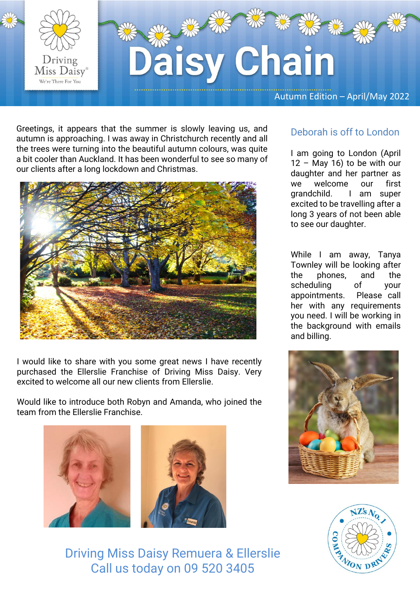

Greetings, it appears that the summer is slowly leaving us, and autumn is approaching. I was away in Christchurch recently and all the trees were turning into the beautiful autumn colours, was quite a bit cooler than Auckland. It has been wonderful to see so many of our clients after a long lockdown and Christmas.



I would like to share with you some great news I have recently purchased the Ellerslie Franchise of Driving Miss Daisy. Very excited to welcome all our new clients from Ellerslie.

Would like to introduce both Robyn and Amanda, who joined the team from the Ellerslie Franchise.





#### Deborah is off to London

I am going to London (April  $12 -$  May 16) to be with our daughter and her partner as we welcome our first grandchild. I am super excited to be travelling after a long 3 years of not been able to see our daughter.

While I am away, Tanya Townley will be looking after the phones, and the scheduling of your appointments. Please call her with any requirements you need. I will be working in the background with emails and billing.





Driving Miss Daisy Remuera & Ellerslie Call us today on 09 520 3405